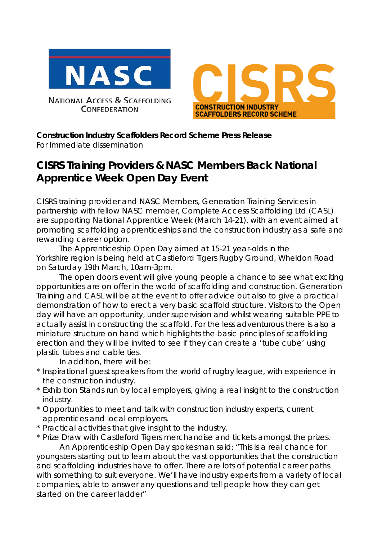

**NATIONAL ACCESS & SCAFFOLDING CONFEDERATION** 



**Construction Industry Scaffolders Record Scheme Press Release** *For Immediate dissemination*

## **CISRS Training Providers & NASC Members Back National Apprentice Week Open Day Event**

CISRS training provider and NASC Members, Generation Training Services in partnership with fellow NASC member, Complete Access Scaffolding Ltd (CASL) are supporting National Apprentice Week (March 14-21), with an event aimed at promoting scaffolding apprenticeships and the construction industry as a safe and rewarding career option.

The Apprenticeship Open Day aimed at 15-21 year-olds in the Yorkshire region is being held at Castleford Tigers Rugby Ground, Wheldon Road on Saturday 19th March, 10am-3pm.

The open doors event will give young people a chance to see what exciting opportunities are on offer in the world of scaffolding and construction. Generation Training and CASL will be at the event to offer advice but also to give a practical demonstration of how to erect a very basic scaffold structure. Visitors to the Open day will have an opportunity, under supervision and whilst wearing suitable PPE to actually assist in constructing the scaffold. For the less adventurous there is also a miniature structure on hand which highlights the basic principles of scaffolding erection and they will be invited to see if they can create a 'tube cube' using plastic tubes and cable ties.

In addition, there will be:

- \* Inspirational guest speakers from the world of rugby league, with experience in the construction industry.
- \* Exhibition Stands run by local employers, giving a real insight to the construction industry.
- \* Opportunities to meet and talk with construction industry experts, current apprentices and local employers.
- \* Practical activities that give insight to the industry.
- \* Prize Draw with Castleford Tigers merchandise and tickets amongst the prizes. An Apprenticeship Open Day spokesman said: "This is a real chance for

youngsters starting out to learn about the vast opportunities that the construction and scaffolding industries have to offer. There are lots of potential career paths with something to suit everyone. We'll have industry experts from a variety of local companies, able to answer any questions and tell people how they can get started on the career ladder"